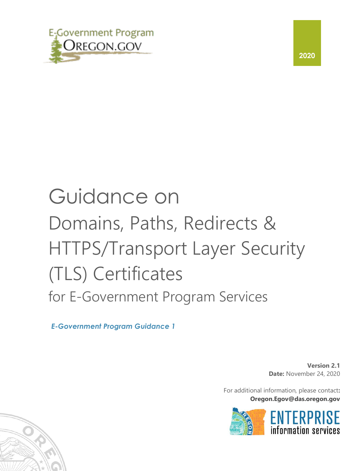

#### **2020**

# Guidance on Domains, Paths, Redirects & HTTPS/Transport Layer Security (TLS) Certificates for E-Government Program Services

*E-Government Program Guidance 1*

**Version 2.1 Date:** November 24, 2020

For additional information, please contact**: Oregon.Egov@das.oregon.gov** 



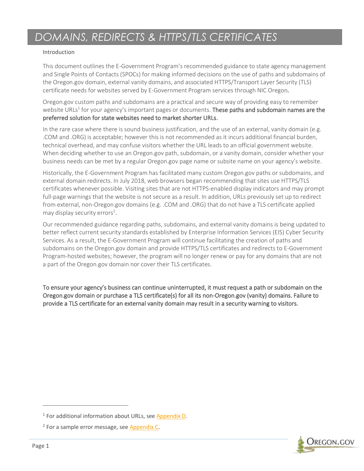#### Introduction

This document outlines the E-Government Program's recommended guidance to state agency management and Single Points of Contacts (SPOCs) for making informed decisions on the use of paths and subdomains of the Oregon.gov domain, external vanity domains, and associated HTTPS/Transport Layer Security (TLS) certificate needs for websites served by E-Government Program services through NIC Oregon*.*

Oregon.gov custom paths and subdomains are a practical and secure way of providing easy to remember website URLs<sup>1</sup> for your agency's important pages or documents. These paths and subdomain names are the preferred solution for state websites need to market shorter URLs.

In the rare case where there is sound business justification, and the use of an external, vanity domain (e.g. .COM and .ORG) is acceptable; however this is not recommended as it incurs additional financial burden, technical overhead, and may confuse visitors whether the URL leads to an official government website. When deciding whether to use an Oregon.gov path, subdomain, or a vanity domain, consider whether your business needs can be met by a regular Oregon.gov page name or subsite name on your agency's website.

Historically, the E-Government Program has facilitated many custom Oregon.gov paths or subdomains, and external domain redirects. In July 2018, web browsers began recommending that sites use HTTPS/TLS certificates whenever possible. Visiting sites that are not HTTPS-enabled display indicators and may prompt full-page warnings that the website is not secure as a result. In addition, URLs previously set up to redirect from external, non-Oregon.gov domains (e.g. .COM and .ORG) that do not have a TLS certificate applied may display security errors<sup>2</sup>.

Our recommended guidance regarding paths, subdomains, and external vanity domains is being updated to better reflect current security standards established by Enterprise Information Services (EIS) Cyber Security Services. As a result, the E-Government Program will continue facilitating the creation of paths and subdomains on the Oregon.gov domain and provide HTTPS/TLS certificates and redirects to E-Government Program-hosted websites; however, the program will no longer renew or pay for any domains that are not a part of the Oregon.gov domain nor cover their TLS certificates.

To ensure your agency's business can continue uninterrupted, it must request a path or subdomain on the Oregon.gov domain or purchase a TLS certificate(s) for all its non-Oregon.gov (vanity) domains. Failure to provide a TLS certificate for an external vanity domain may result in a security warning to visitors.



<sup>1</sup> For additional information about URLs, see [Appendix D.](#page-11-0)

<sup>&</sup>lt;sup>2</sup> For a sample error message, see [Appendix C.](#page-10-0)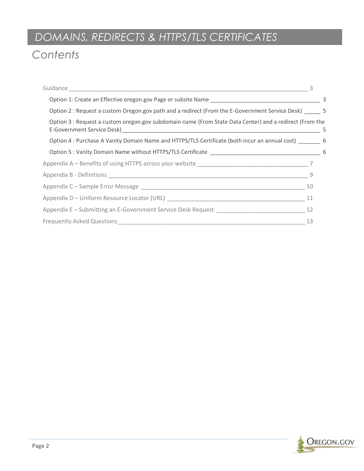# *Contents*

| Guidance                                                                                                |      |
|---------------------------------------------------------------------------------------------------------|------|
|                                                                                                         | 3    |
| Option 2 : Request a custom Oregon.gov path and a redirect (From the E-Government Service Desk) _____ 5 |      |
| Option 3 : Request a custom oregon.gov subdomain name (From State Data Center) and a redirect (From the | $-5$ |
| Option 4: Purchase A Vanity Domain Name and HTTPS/TLS Certificate (both incur an annual cost) 6         |      |
|                                                                                                         |      |
|                                                                                                         |      |
| - 9                                                                                                     |      |
| 10                                                                                                      |      |
|                                                                                                         |      |
|                                                                                                         |      |
| 13                                                                                                      |      |

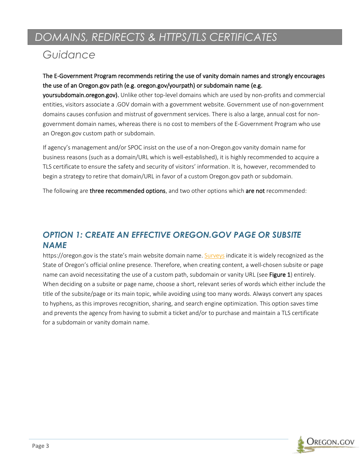### <span id="page-3-0"></span>*Guidance*

The E-Government Program recommends retiring the use of vanity domain names and strongly encourages the use of an Oregon.gov path (e.g. oregon.gov/yourpath) or subdomain name (e.g.

yoursubdomain.oregon.gov). Unlike other top-level domains which are used by non-profits and commercial entities, visitors associate a .GOV domain with a government website. Government use of non-government domains causes confusion and mistrust of government services. There is also a large, annual cost for nongovernment domain names, whereas there is no cost to members of the E-Government Program who use an Oregon.gov custom path or subdomain.

If agency's management and/or SPOC insist on the use of a non-Oregon.gov vanity domain name for business reasons (such as a domain/URL which is well-established), it is highly recommended to acquire a TLS certificate to ensure the safety and security of visitors' information. It is, however, recommended to begin a strategy to retire that domain/URL in favor of a custom Oregon.gov path or subdomain.

The following are three recommended options, and two other options which are not recommended:

### <span id="page-3-1"></span>*OPTION 1: CREATE AN EFFECTIVE OREGON.GOV PAGE OR SUBSITE NAME*

https://oregon.gov is the state's main website domain name. [Surveys](https://www.oregon.gov/epab/Documents/2019-EPAB-Annual-Report.pdf) indicate it is widely recognized as the State of Oregon's official online presence. Therefore, when creating content, a well-chosen subsite or page name can avoid necessitating the use of a custom path, subdomain or vanity URL (see Figure 1) entirely. When deciding on a subsite or page name, choose a short, relevant series of words which either include the title of the subsite/page or its main topic, while avoiding using too many words. Always convert any spaces to hyphens, as this improves recognition, sharing, and search engine optimization. This option saves time and prevents the agency from having to submit a ticket and/or to purchase and maintain a TLS certificate for a subdomain or vanity domain name.

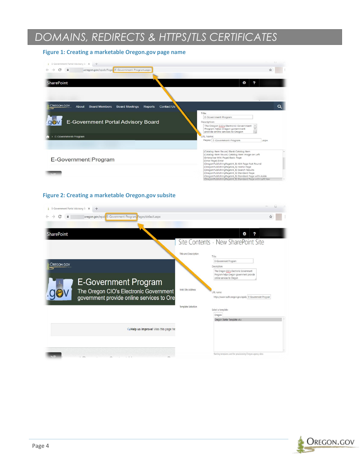#### **Figure 1: Creating a marketable Oregon.gov page name**

| E-Government Portal Advisory Br X +                                                                         |                                                                                                                                                                                                                                                                                                                                         |
|-------------------------------------------------------------------------------------------------------------|-----------------------------------------------------------------------------------------------------------------------------------------------------------------------------------------------------------------------------------------------------------------------------------------------------------------------------------------|
| C<br>Loregon.gov/epab/Page /E-Government-Program.aspx                                                       | ☆                                                                                                                                                                                                                                                                                                                                       |
| <b>SharePoint</b>                                                                                           | 2<br>to.                                                                                                                                                                                                                                                                                                                                |
|                                                                                                             |                                                                                                                                                                                                                                                                                                                                         |
| <b>OREGON.GOV</b><br><b>Board Members</b><br><b>Board Meetings</b><br><b>Contact Us</b><br>About<br>Reports | $\Omega$                                                                                                                                                                                                                                                                                                                                |
| Title:                                                                                                      |                                                                                                                                                                                                                                                                                                                                         |
|                                                                                                             | E-Government-Program                                                                                                                                                                                                                                                                                                                    |
| E-Government Portal Advisory Board                                                                          | Description:<br>The Oregon CIO's Electronic Government<br>Program helps Oregon government<br>provide online services to Oregon                                                                                                                                                                                                          |
| E-Government-Program<br>$\rightarrow$                                                                       | URL Name:                                                                                                                                                                                                                                                                                                                               |
|                                                                                                             | Pages/ E-Government-Program<br>.aspx                                                                                                                                                                                                                                                                                                    |
| <b>E-Government Program</b>                                                                                 | (Catalog-Item Reuse) Blank Catalog Item<br>(Catalog-Item Reuse) Catalog Item Image on Left<br>(Enterprise Wiki Page) Basic Page<br>(Error Page) Error<br>(OregonPublishingPageV4_5) 404 Page Not Found<br>(OregonPublishingPageV4_5) Home Page<br>(OregonPublishingPageV4_5) Search Results<br>(OregonPublishingPageV4_5) Standard Page |
|                                                                                                             | (OregonPublishingPageV4_5) Standard Page with Aside                                                                                                                                                                                                                                                                                     |

#### **Figure 2: Creating a marketable Oregon.gov subsite**

| E-Government Portal Advisory Bc X<br>$+$                                            | Ω                                                                                                              |
|-------------------------------------------------------------------------------------|----------------------------------------------------------------------------------------------------------------|
| oregon.gov/epab/E-Government-Program Pages/default.aspx                             |                                                                                                                |
|                                                                                     |                                                                                                                |
| <b>SharePoint</b>                                                                   | ö<br>?                                                                                                         |
|                                                                                     | Site Contents · New SharePoint Site                                                                            |
|                                                                                     | Title and Description<br>Title:                                                                                |
| <b>OREGON.GOV</b>                                                                   | E-Government Program<br>Description:                                                                           |
| <b>E-Government Program</b>                                                         | The Oregon CIO's Electronic Government<br>Program helps Oregon government provide<br>online services to Oregon |
| The Oregon CIO's Electronic Government<br>government provide online services to Ore | Web Site Address<br>URL name:<br>https://www-auth.oregon.gov/epab/ E-Government-Program                        |
|                                                                                     | <b>Template Selection</b><br>Select a template:                                                                |
|                                                                                     | Oregon                                                                                                         |
|                                                                                     | Oregon Starter Template v4.x                                                                                   |
| Alleip us improve! Was this page he                                                 |                                                                                                                |
|                                                                                     |                                                                                                                |
|                                                                                     |                                                                                                                |
| $-111$                                                                              | Starting template used for provisioning Oregon agency sites                                                    |

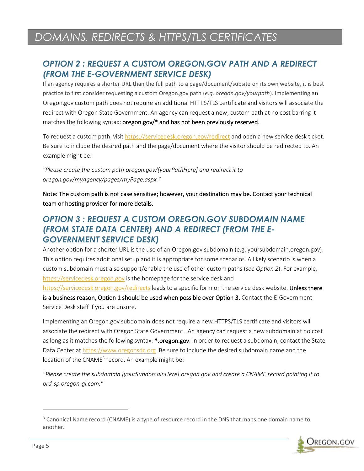### <span id="page-5-0"></span>*OPTION 2 : REQUEST A CUSTOM OREGON.GOV PATH AND A REDIRECT (FROM THE E-GOVERNMENT SERVICE DESK)*

If an agency requires a shorter URL than the full path to a page/document/subsite on its own website, it is best practice to first consider requesting a custom Oregon.gov path (*e.g. oregon.gov/yourpath*). Implementing an Oregon.gov custom path does not require an additional HTTPS/TLS certificate and visitors will associate the redirect with Oregon State Government. An agency can request a new, custom path at no cost barring it matches the following syntax: oregon.gov/\* and has not been previously reserved.

To request a custom path, visit <https://servicedesk.oregon.gov/redirect> and open a new service desk ticket. Be sure to include the desired path and the page/document where the visitor should be redirected to. An example might be:

*"Please create the custom path oregon.gov/[yourPathHere] and redirect it to oregon.gov/myAgency/pages/myPage.aspx."*

Note: The custom path is not case sensitive; however, your destination may be. Contact your technical team or hosting provider for more details.

### <span id="page-5-1"></span>*OPTION 3 : REQUEST A CUSTOM OREGON.GOV SUBDOMAIN NAME (FROM STATE DATA CENTER) AND A REDIRECT (FROM THE E-GOVERNMENT SERVICE DESK)*

Another option for a shorter URL is the use of an Oregon.gov subdomain (e.g. yoursubdomain.oregon.gov). This option requires additional setup and it is appropriate for some scenarios. A likely scenario is when a custom subdomain must also support/enable the use of other custom paths (*see Option 2*). For example, [https://servicedesk.oregon.gov](https://servicedesk.oregon.gov/) is the homepage for the service desk and <https://servicedesk.oregon.gov/redirects> leads to a specific form on the service desk website. Unless there

is a business reason, Option 1 should be used when possible over Option 3. Contact the E-Government Service Desk staff if you are unsure.

Implementing an Oregon.gov subdomain does not require a new HTTPS/TLS certificate and visitors will associate the redirect with Oregon State Government. An agency can request a new subdomain at no cost as long as it matches the following syntax: \*.oregon.gov. In order to request a subdomain, contact the State Data Center at [https://www.oregonsdc.org.](https://www.oregonsdc.org/) Be sure to include the desired subdomain name and the location of the CNAME<sup>3</sup> record. An example might be:

*"Please create the subdomain [yourSubdomainHere].oregon.gov and create a CNAME record pointing it to prd-sp.oregon-gl.com."*

<sup>&</sup>lt;sup>3</sup> Canonical Name record (CNAME) is a type of resource record in the DNS that maps one domain name to another.

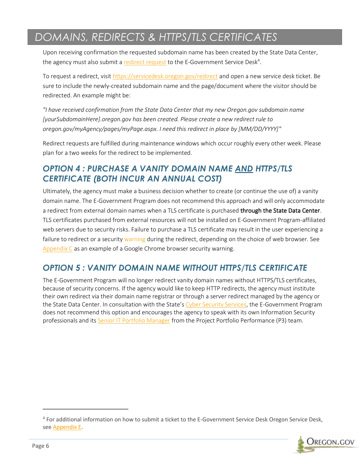Upon receiving confirmation the requested subdomain name has been created by the State Data Center, the agency must also submit a [redirect request](https://egovservicedesk.zendesk.com/hc/en-us/requests/new?ticket_form_id=208526) to the E-Government Service Desk<sup>4</sup>.

To request a redirect, visit<https://servicedesk.oregon.gov/redirect> and open a new service desk ticket. Be sure to include the newly-created subdomain name and the page/document where the visitor should be redirected. An example might be:

*"I have received confirmation from the State Data Center that my new Oregon.gov subdomain name [yourSubdomainHere].oregon.gov has been created. Please create a new redirect rule to oregon.gov/myAgency/pages/myPage.aspx. I need this redirect in place by [MM/DD/YYYY]"*

Redirect requests are fulfilled during maintenance windows which occur roughly every other week. Please plan for a two weeks for the redirect to be implemented.

### <span id="page-6-0"></span>*OPTION 4 : PURCHASE A VANITY DOMAIN NAME AND HTTPS/TLS CERTIFICATE (BOTH INCUR AN ANNUAL COST)*

Ultimately, the agency must make a business decision whether to create (or continue the use of) a vanity domain name. The E-Government Program does not recommend this approach and will only accommodate a redirect from external domain names when a TLS certificate is purchased through the State Data Center. TLS certificates purchased from external resources will not be installed on E-Government Program-affiliated web servers due to security risks. Failure to purchase a TLS certificate may result in the user experiencing a failure to redirect or a security [warning](https://support.google.com/webmasters/thread/2744857?hl=en) during the redirect, depending on the choice of web browser. See [Appendix C](#page-10-0) as an example of a Google Chrome browser security warning.

### <span id="page-6-1"></span>*OPTION 5 : VANITY DOMAIN NAME WITHOUT HTTPS/TLS CERTIFICATE*

The E-Government Program will no longer redirect vanity domain names without HTTPS/TLS certificates, because of security concerns. If the agency would like to keep HTTP redirects, the agency must institute their own redirect via their domain name registrar or through a server redirect managed by the agency or the State Data Center. In consultation with the State's [Cyber Security Services,](https://www.oregon.gov/das/OSCIO/Pages/Security.aspx) the E-Government Program does not recommend this option and encourages the agency to speak with its own Information Security professionals and its [Senior IT Portfolio Manager](https://www.oregon.gov/das/OSCIO/Pages/StrategyOfficers.aspx) from the Project Portfolio Performance (P3) team.

<sup>4</sup> For additional information on how to submit a ticket to the E-Government Service Desk Oregon Service Desk, see [Appendix E](#page-12-0).

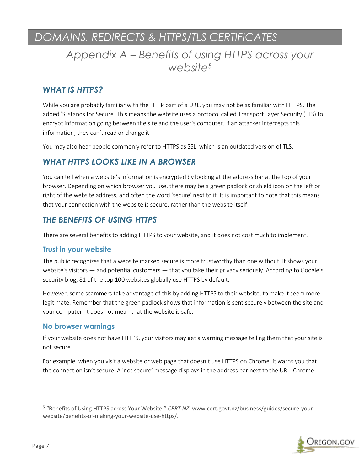### <span id="page-7-0"></span>*Appendix A – Benefits of using HTTPS across your website<sup>5</sup>*

### *WHAT IS HTTPS?*

While you are probably familiar with the HTTP part of a URL, you may not be as familiar with HTTPS. The added 'S' stands for Secure. This means the website uses a protocol called Transport Layer Security (TLS) to encrypt information going between the site and the user's computer. If an attacker intercepts this information, they can't read or change it.

You may also hear people commonly refer to HTTPS as SSL, which is an outdated version of TLS.

### *WHAT HTTPS LOOKS LIKE IN A BROWSER*

You can tell when a website's information is encrypted by looking at the address bar at the top of your browser. Depending on which browser you use, there may be a green padlock or shield icon on the left or right of the website address, and often the word 'secure' next to it. It is important to note that this means that your connection with the website is secure, rather than the website itself.

### *THE BENEFITS OF USING HTTPS*

There are several benefits to adding HTTPS to your website, and it does not cost much to implement.

#### **Trust in your website**

The public recognizes that a website marked secure is more trustworthy than one without. It shows your website's visitors — and potential customers — that you take their privacy seriously. According to Google's security blog, 81 of the top 100 websites globally use HTTPS by default.

However, some scammers take advantage of this by adding HTTPS to their website, to make it seem more legitimate. Remember that the green padlock shows that information is sent securely between the site and your computer. It does not mean that the website is safe.

#### **No browser warnings**

If your website does not have HTTPS, your visitors may get a warning message telling them that your site is not secure.

For example, when you visit a website or web page that doesn't use HTTPS on Chrome, it warns you that the connection isn't secure. A 'not secure' message displays in the address bar next to the URL. Chrome

<sup>&</sup>lt;sup>5</sup> "Benefits of Using HTTPS across Your Website." *CERT NZ*, www.cert.govt.nz/business/guides/secure-yourwebsite/benefits-of-making-your-website-use-https/.

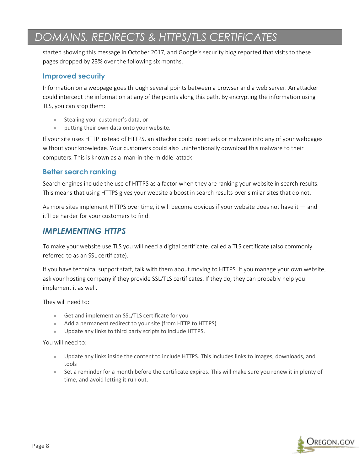started showing this message in October 2017, and Google's security blog reported that visits to these pages dropped by 23% over the following six months.

#### **Improved security**

Information on a webpage goes through several points between a browser and a web server. An attacker could intercept the information at any of the points along this path. By encrypting the information using TLS, you can stop them:

- Stealing your customer's data, or
- putting their own data onto your website.

If your site uses HTTP instead of HTTPS, an attacker could insert ads or malware into any of your webpages without your knowledge. Your customers could also unintentionally download this malware to their computers. This is known as a 'man-in-the-middle' attack.

#### **Better search ranking**

Search engines include the use of HTTPS as a factor when they are ranking your website in search results. This means that using HTTPS gives your website a boost in search results over similar sites that do not.

As more sites implement HTTPS over time, it will become obvious if your website does not have it — and it'll be harder for your customers to find.

### *IMPLEMENTING HTTPS*

To make your website use TLS you will need a digital certificate, called a TLS certificate (also commonly referred to as an SSL certificate).

If you have technical support staff, talk with them about moving to HTTPS. If you manage your own website, ask your hosting company if they provide SSL/TLS certificates. If they do, they can probably help you implement it as well.

They will need to:

- Get and implement an SSL/TLS certificate for you
- Add a permanent redirect to your site (from HTTP to HTTPS)
- Update any links to third party scripts to include HTTPS.

You will need to:

- Update any links inside the content to include HTTPS. This includes links to images, downloads, and tools
- Set a reminder for a month before the certificate expires. This will make sure you renew it in plenty of time, and avoid letting it run out.

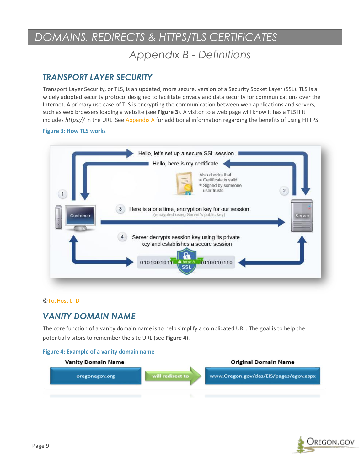### *Appendix B - Definitions*

### <span id="page-9-0"></span>*TRANSPORT LAYER SECURITY*

Transport Layer Security, or TLS, is an updated, more secure, version of a Security Socket Layer (SSL). TLS is a widely adopted security protocol designed to facilitate privacy and data security for communications over the Internet. A primary use case of TLS is encrypting the communication between web applications and servers, such as web browsers loading a website (see **Figure 3**). A visitor to a web page will know it has a TLS if it includes *https://* in the URL. See Appendix A for additional information regarding the benefits of using HTTPS.

#### **Figure 3: How TLS works**



#### [©TosHost LTD](https://toshost.com/)

### *VANITY DOMAIN NAME*

The core function of a vanity domain name is to help simplify a complicated URL. The goal is to help the potential visitors to remember the site URL (see **Figure 4**).

#### **Figure 4: Example of a vanity domain name**



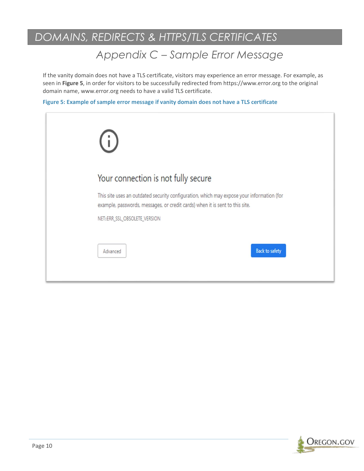# *Appendix C – Sample Error Message*

<span id="page-10-0"></span>If the vanity domain does not have a TLS certificate, visitors may experience an error message. For example, as seen in **Figure 5**, in order for visitors to be successfully redirected from https://www.error.org to the original domain name, www.error.org needs to have a valid TLS certificate.

**Figure 5: Example of sample error message if vanity domain does not have a TLS certificate**

| (i)                           |                                                                                                                                                                           |
|-------------------------------|---------------------------------------------------------------------------------------------------------------------------------------------------------------------------|
|                               | Your connection is not fully secure                                                                                                                                       |
|                               | This site uses an outdated security configuration, which may expose your information (for<br>example, passwords, messages, or credit cards) when it is sent to this site. |
| NET::ERR_SSL_OBSOLETE_VERSION |                                                                                                                                                                           |
| Advanced                      | <b>Back to safety</b>                                                                                                                                                     |

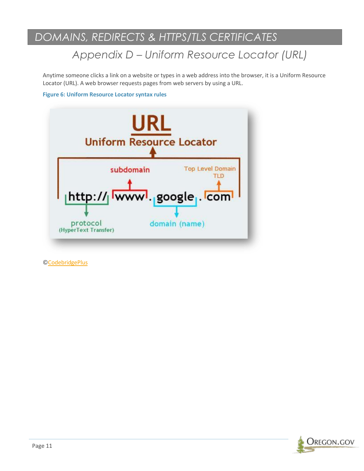# *Appendix D – Uniform Resource Locator (URL)*

<span id="page-11-0"></span>Anytime someone clicks a link on a website or types in a web address into the browser, it is a Uniform Resource Locator (URL). A web browser requests pages from web servers by using a URL.

#### **Figure 6: Uniform Resource Locator syntax rules**



[©CodebridgePlus](https://codebridgeplus.com/html-uniform-resource-locators/)

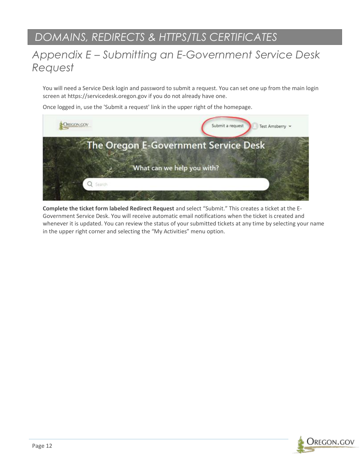### <span id="page-12-0"></span>*Appendix E – Submitting an E-Government Service Desk Request*

You will need a Service Desk login and password to submit a request. You can set one up from the main login screen at https://servicedesk.oregon.gov if you do not already have one.

Once logged in, use the 'Submit a request' link in the upper right of the homepage.



**Complete the ticket form labeled Redirect Request** and select "Submit." This creates a ticket at the E-Government Service Desk. You will receive automatic email notifications when the ticket is created and whenever it is updated. You can review the status of your submitted tickets at any time by selecting your name in the upper right corner and selecting the "My Activities" menu option.